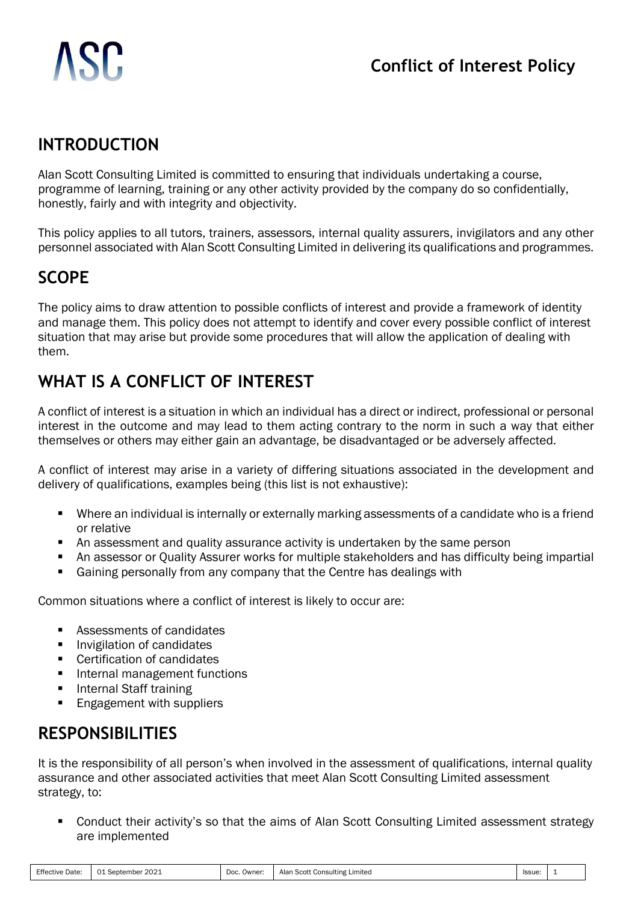## **INTRODUCTION**

Alan Scott Consulting Limited is committed to ensuring that individuals undertaking a course, programme of learning, training or any other activity provided by the company do so confidentially, honestly, fairly and with integrity and objectivity.

This policy applies to all tutors, trainers, assessors, internal quality assurers, invigilators and any other personnel associated with Alan Scott Consulting Limited in delivering its qualifications and programmes.

# **SCOPE**

The policy aims to draw attention to possible conflicts of interest and provide a framework of identity and manage them. This policy does not attempt to identify and cover every possible conflict of interest situation that may arise but provide some procedures that will allow the application of dealing with them.

# **WHAT IS A CONFLICT OF INTEREST**

A conflict of interest is a situation in which an individual has a direct or indirect, professional or personal interest in the outcome and may lead to them acting contrary to the norm in such a way that either themselves or others may either gain an advantage, be disadvantaged or be adversely affected.

A conflict of interest may arise in a variety of differing situations associated in the development and delivery of qualifications, examples being (this list is not exhaustive):

- Where an individual is internally or externally marking assessments of a candidate who is a friend or relative
- An assessment and quality assurance activity is undertaken by the same person
- An assessor or Quality Assurer works for multiple stakeholders and has difficulty being impartial
- Gaining personally from any company that the Centre has dealings with

Common situations where a conflict of interest is likely to occur are:

- Assessments of candidates
- Invigilation of candidates
- Certification of candidates
- Internal management functions
- **Internal Staff training**
- **Engagement with suppliers**

### **RESPONSIBILITIES**

It is the responsibility of all person's when involved in the assessment of qualifications, internal quality assurance and other associated activities that meet Alan Scott Consulting Limited assessment strategy, to:

Conduct their activity's so that the aims of Alan Scott Consulting Limited assessment strategy are implemented

| <b>Effective Date:</b> | 2021<br>$\sim$<br>. September<br>$\sim$ | Doc.<br>. Owner: | ، Scott Consulting I<br>Alar<br>Limited | Issue. | . . |
|------------------------|-----------------------------------------|------------------|-----------------------------------------|--------|-----|
|------------------------|-----------------------------------------|------------------|-----------------------------------------|--------|-----|